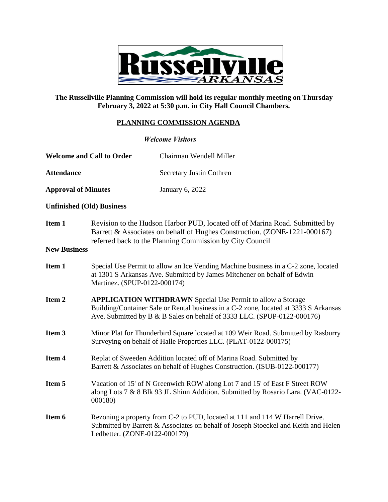

## **The Russellville Planning Commission will hold its regular monthly meeting on Thursday February 3, 2022 at 5:30 p.m. in City Hall Council Chambers.**

## **PLANNING COMMISSION AGENDA**

| <b>Welcome Visitors</b>          |                                                                                                                                                                                                                                       |                          |
|----------------------------------|---------------------------------------------------------------------------------------------------------------------------------------------------------------------------------------------------------------------------------------|--------------------------|
| <b>Welcome and Call to Order</b> |                                                                                                                                                                                                                                       | Chairman Wendell Miller  |
| <b>Attendance</b>                |                                                                                                                                                                                                                                       | Secretary Justin Cothren |
| <b>Approval of Minutes</b>       |                                                                                                                                                                                                                                       | <b>January 6, 2022</b>   |
| <b>Unfinished (Old) Business</b> |                                                                                                                                                                                                                                       |                          |
| Item 1<br><b>New Business</b>    | Revision to the Hudson Harbor PUD, located off of Marina Road. Submitted by<br>Barrett & Associates on behalf of Hughes Construction. (ZONE-1221-000167)<br>referred back to the Planning Commission by City Council                  |                          |
| Item 1                           | Special Use Permit to allow an Ice Vending Machine business in a C-2 zone, located<br>at 1301 S Arkansas Ave. Submitted by James Mitchener on behalf of Edwin<br>Martinez. (SPUP-0122-000174)                                         |                          |
| Item 2                           | <b>APPLICATION WITHDRAWN</b> Special Use Permit to allow a Storage<br>Building/Container Sale or Rental business in a C-2 zone, located at 3333 S Arkansas<br>Ave. Submitted by B & B Sales on behalf of 3333 LLC. (SPUP-0122-000176) |                          |
| Item 3                           | Minor Plat for Thunderbird Square located at 109 Weir Road. Submitted by Rasburry<br>Surveying on behalf of Halle Properties LLC. (PLAT-0122-000175)                                                                                  |                          |
| Item 4                           | Replat of Sweeden Addition located off of Marina Road. Submitted by<br>Barrett & Associates on behalf of Hughes Construction. (ISUB-0122-000177)                                                                                      |                          |
| Item 5                           | Vacation of 15' of N Greenwich ROW along Lot 7 and 15' of East F Street ROW<br>along Lots 7 & 8 Blk 93 JL Shinn Addition. Submitted by Rosario Lara. (VAC-0122-<br>000180)                                                            |                          |
| Item 6                           | Rezoning a property from C-2 to PUD, located at 111 and 114 W Harrell Drive.<br>Submitted by Barrett & Associates on behalf of Joseph Stoeckel and Keith and Helen<br>Ledbetter. (ZONE-0122-000179)                                   |                          |